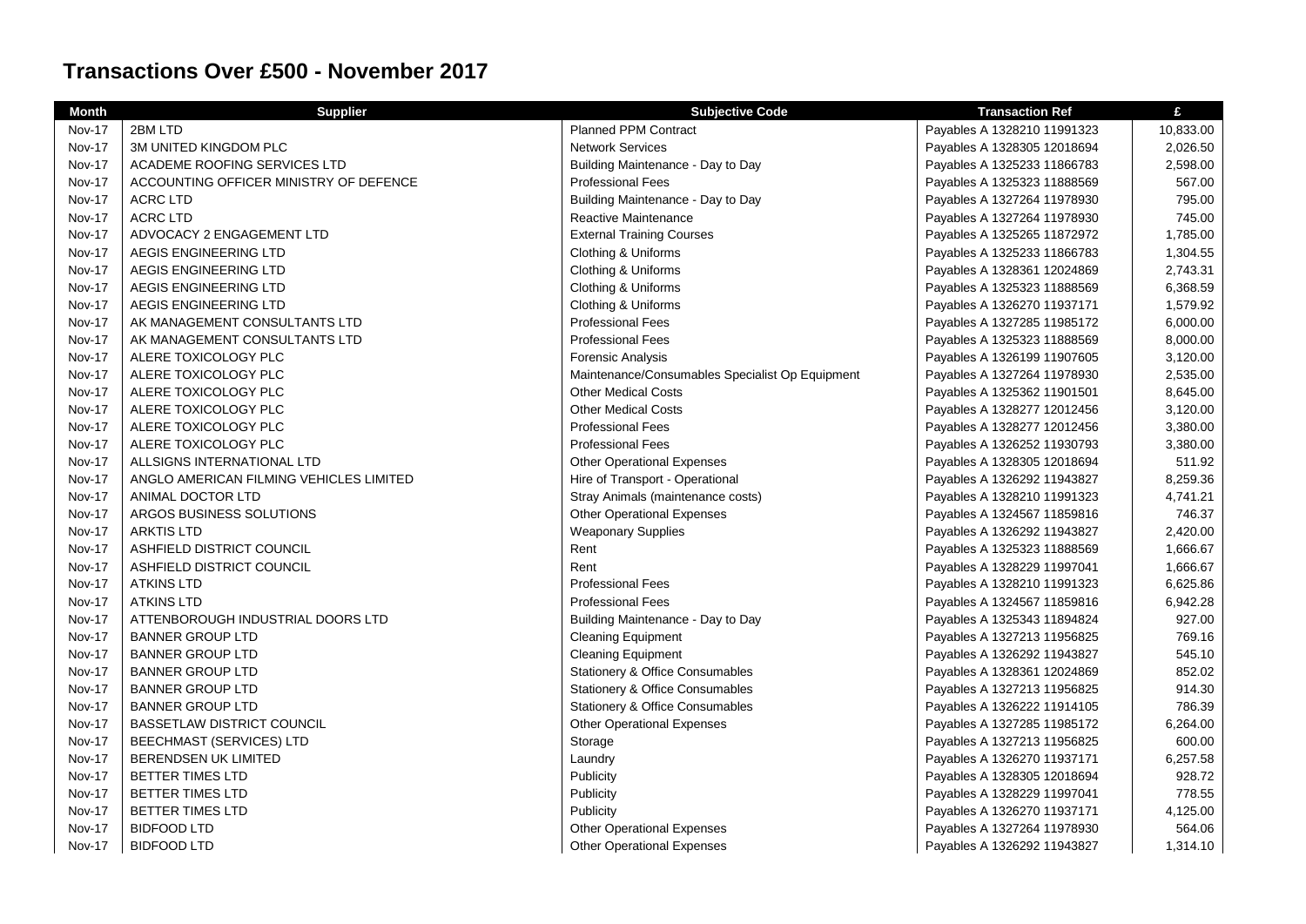| <b>Month</b>  | <b>Supplier</b>                         | <b>Subjective Code</b>                          | <b>Transaction Ref</b>      | £         |
|---------------|-----------------------------------------|-------------------------------------------------|-----------------------------|-----------|
| <b>Nov-17</b> | 2BM LTD                                 | <b>Planned PPM Contract</b>                     | Payables A 1328210 11991323 | 10,833.00 |
| <b>Nov-17</b> | 3M UNITED KINGDOM PLC                   | <b>Network Services</b>                         | Payables A 1328305 12018694 | 2,026.50  |
| <b>Nov-17</b> | ACADEME ROOFING SERVICES LTD            | Building Maintenance - Day to Day               | Payables A 1325233 11866783 | 2,598.00  |
| <b>Nov-17</b> | ACCOUNTING OFFICER MINISTRY OF DEFENCE  | <b>Professional Fees</b>                        | Payables A 1325323 11888569 | 567.00    |
| <b>Nov-17</b> | <b>ACRC LTD</b>                         | Building Maintenance - Day to Day               | Payables A 1327264 11978930 | 795.00    |
| <b>Nov-17</b> | <b>ACRC LTD</b>                         | Reactive Maintenance                            | Payables A 1327264 11978930 | 745.00    |
| <b>Nov-17</b> | ADVOCACY 2 ENGAGEMENT LTD               | <b>External Training Courses</b>                | Payables A 1325265 11872972 | 1,785.00  |
| <b>Nov-17</b> | AEGIS ENGINEERING LTD                   | Clothing & Uniforms                             | Payables A 1325233 11866783 | 1,304.55  |
| <b>Nov-17</b> | AEGIS ENGINEERING LTD                   | Clothing & Uniforms                             | Payables A 1328361 12024869 | 2,743.31  |
| <b>Nov-17</b> | AEGIS ENGINEERING LTD                   | Clothing & Uniforms                             | Payables A 1325323 11888569 | 6,368.59  |
| <b>Nov-17</b> | AEGIS ENGINEERING LTD                   | Clothing & Uniforms                             | Payables A 1326270 11937171 | 1,579.92  |
| <b>Nov-17</b> | AK MANAGEMENT CONSULTANTS LTD           | <b>Professional Fees</b>                        | Payables A 1327285 11985172 | 6,000.00  |
| <b>Nov-17</b> | AK MANAGEMENT CONSULTANTS LTD           | <b>Professional Fees</b>                        | Payables A 1325323 11888569 | 8,000.00  |
| <b>Nov-17</b> | ALERE TOXICOLOGY PLC                    | <b>Forensic Analysis</b>                        | Payables A 1326199 11907605 | 3,120.00  |
| <b>Nov-17</b> | ALERE TOXICOLOGY PLC                    | Maintenance/Consumables Specialist Op Equipment | Payables A 1327264 11978930 | 2,535.00  |
| <b>Nov-17</b> | ALERE TOXICOLOGY PLC                    | <b>Other Medical Costs</b>                      | Payables A 1325362 11901501 | 8,645.00  |
| <b>Nov-17</b> | ALERE TOXICOLOGY PLC                    | <b>Other Medical Costs</b>                      | Payables A 1328277 12012456 | 3,120.00  |
| <b>Nov-17</b> | ALERE TOXICOLOGY PLC                    | <b>Professional Fees</b>                        | Payables A 1328277 12012456 | 3,380.00  |
| <b>Nov-17</b> | ALERE TOXICOLOGY PLC                    | <b>Professional Fees</b>                        | Payables A 1326252 11930793 | 3,380.00  |
| <b>Nov-17</b> | ALLSIGNS INTERNATIONAL LTD              | <b>Other Operational Expenses</b>               | Payables A 1328305 12018694 | 511.92    |
| <b>Nov-17</b> | ANGLO AMERICAN FILMING VEHICLES LIMITED | Hire of Transport - Operational                 | Payables A 1326292 11943827 | 8,259.36  |
| <b>Nov-17</b> | ANIMAL DOCTOR LTD                       | Stray Animals (maintenance costs)               | Payables A 1328210 11991323 | 4,741.21  |
| Nov-17        | ARGOS BUSINESS SOLUTIONS                | <b>Other Operational Expenses</b>               | Payables A 1324567 11859816 | 746.37    |
| <b>Nov-17</b> | <b>ARKTIS LTD</b>                       | <b>Weaponary Supplies</b>                       | Payables A 1326292 11943827 | 2,420.00  |
| <b>Nov-17</b> | ASHFIELD DISTRICT COUNCIL               | Rent                                            | Payables A 1325323 11888569 | 1,666.67  |
| <b>Nov-17</b> | ASHFIELD DISTRICT COUNCIL               | Rent                                            | Payables A 1328229 11997041 | 1,666.67  |
| <b>Nov-17</b> | <b>ATKINS LTD</b>                       | <b>Professional Fees</b>                        | Payables A 1328210 11991323 | 6,625.86  |
| <b>Nov-17</b> | <b>ATKINS LTD</b>                       | <b>Professional Fees</b>                        | Payables A 1324567 11859816 | 6,942.28  |
| <b>Nov-17</b> | ATTENBOROUGH INDUSTRIAL DOORS LTD       | Building Maintenance - Day to Day               | Payables A 1325343 11894824 | 927.00    |
| <b>Nov-17</b> | <b>BANNER GROUP LTD</b>                 | <b>Cleaning Equipment</b>                       | Payables A 1327213 11956825 | 769.16    |
| <b>Nov-17</b> | <b>BANNER GROUP LTD</b>                 | <b>Cleaning Equipment</b>                       | Payables A 1326292 11943827 | 545.10    |
| <b>Nov-17</b> | <b>BANNER GROUP LTD</b>                 | Stationery & Office Consumables                 | Payables A 1328361 12024869 | 852.02    |
| <b>Nov-17</b> | <b>BANNER GROUP LTD</b>                 | Stationery & Office Consumables                 | Payables A 1327213 11956825 | 914.30    |
| <b>Nov-17</b> | <b>BANNER GROUP LTD</b>                 | Stationery & Office Consumables                 | Payables A 1326222 11914105 | 786.39    |
| <b>Nov-17</b> | <b>BASSETLAW DISTRICT COUNCIL</b>       | <b>Other Operational Expenses</b>               | Payables A 1327285 11985172 | 6,264.00  |
| <b>Nov-17</b> | <b>BEECHMAST (SERVICES) LTD</b>         | Storage                                         | Payables A 1327213 11956825 | 600.00    |
| <b>Nov-17</b> | <b>BERENDSEN UK LIMITED</b>             | Laundry                                         | Payables A 1326270 11937171 | 6,257.58  |
| <b>Nov-17</b> | <b>BETTER TIMES LTD</b>                 | Publicity                                       | Payables A 1328305 12018694 | 928.72    |
| <b>Nov-17</b> | <b>BETTER TIMES LTD</b>                 | Publicity                                       | Payables A 1328229 11997041 | 778.55    |
| <b>Nov-17</b> | <b>BETTER TIMES LTD</b>                 | Publicity                                       | Payables A 1326270 11937171 | 4,125.00  |
| <b>Nov-17</b> | <b>BIDFOOD LTD</b>                      | <b>Other Operational Expenses</b>               | Payables A 1327264 11978930 | 564.06    |
| <b>Nov-17</b> | <b>BIDFOOD LTD</b>                      | <b>Other Operational Expenses</b>               | Payables A 1326292 11943827 | 1,314.10  |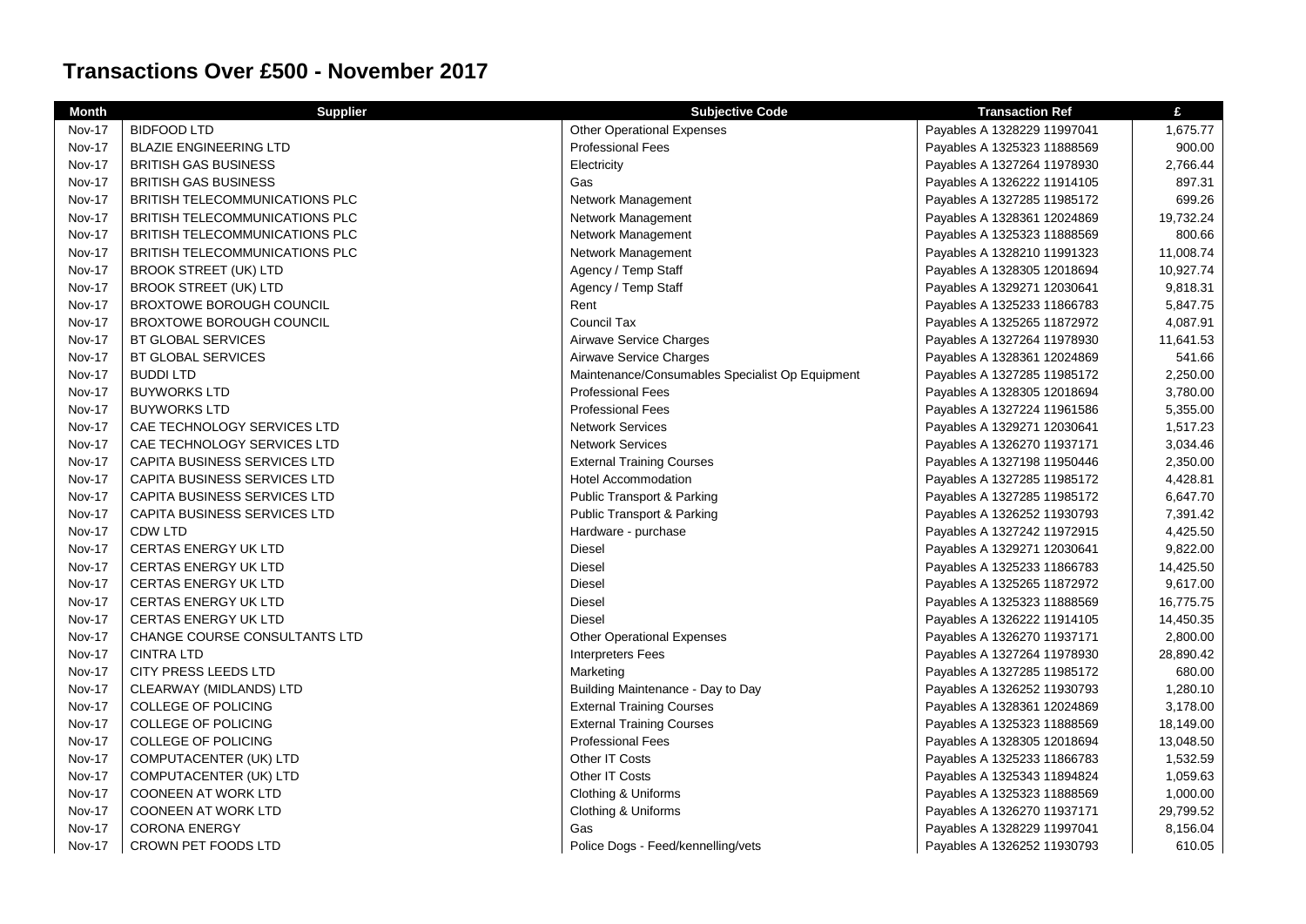| <b>Month</b>  | <b>Supplier</b>                       | <b>Subjective Code</b>                          | <b>Transaction Ref</b>      | £         |
|---------------|---------------------------------------|-------------------------------------------------|-----------------------------|-----------|
| <b>Nov-17</b> | <b>BIDFOOD LTD</b>                    | <b>Other Operational Expenses</b>               | Payables A 1328229 11997041 | 1,675.77  |
| <b>Nov-17</b> | <b>BLAZIE ENGINEERING LTD</b>         | <b>Professional Fees</b>                        | Payables A 1325323 11888569 | 900.00    |
| <b>Nov-17</b> | <b>BRITISH GAS BUSINESS</b>           | Electricity                                     | Payables A 1327264 11978930 | 2,766.44  |
| <b>Nov-17</b> | <b>BRITISH GAS BUSINESS</b>           | Gas                                             | Payables A 1326222 11914105 | 897.31    |
| Nov-17        | BRITISH TELECOMMUNICATIONS PLC        | Network Management                              | Payables A 1327285 11985172 | 699.26    |
| <b>Nov-17</b> | BRITISH TELECOMMUNICATIONS PLC        | Network Management                              | Payables A 1328361 12024869 | 19,732.24 |
| <b>Nov-17</b> | BRITISH TELECOMMUNICATIONS PLC        | Network Management                              | Payables A 1325323 11888569 | 800.66    |
| <b>Nov-17</b> | <b>BRITISH TELECOMMUNICATIONS PLC</b> | Network Management                              | Payables A 1328210 11991323 | 11,008.74 |
| <b>Nov-17</b> | BROOK STREET (UK) LTD                 | Agency / Temp Staff                             | Payables A 1328305 12018694 | 10,927.74 |
| <b>Nov-17</b> | <b>BROOK STREET (UK) LTD</b>          | Agency / Temp Staff                             | Payables A 1329271 12030641 | 9,818.31  |
| <b>Nov-17</b> | BROXTOWE BOROUGH COUNCIL              | Rent                                            | Payables A 1325233 11866783 | 5,847.75  |
| <b>Nov-17</b> | <b>BROXTOWE BOROUGH COUNCIL</b>       | Council Tax                                     | Payables A 1325265 11872972 | 4,087.91  |
| Nov-17        | BT GLOBAL SERVICES                    | Airwave Service Charges                         | Payables A 1327264 11978930 | 11,641.53 |
| <b>Nov-17</b> | BT GLOBAL SERVICES                    | Airwave Service Charges                         | Payables A 1328361 12024869 | 541.66    |
| <b>Nov-17</b> | <b>BUDDI LTD</b>                      | Maintenance/Consumables Specialist Op Equipment | Payables A 1327285 11985172 | 2,250.00  |
| Nov-17        | <b>BUYWORKS LTD</b>                   | <b>Professional Fees</b>                        | Payables A 1328305 12018694 | 3,780.00  |
| <b>Nov-17</b> | <b>BUYWORKS LTD</b>                   | <b>Professional Fees</b>                        | Payables A 1327224 11961586 | 5,355.00  |
| <b>Nov-17</b> | CAE TECHNOLOGY SERVICES LTD           | <b>Network Services</b>                         | Payables A 1329271 12030641 | 1,517.23  |
| <b>Nov-17</b> | CAE TECHNOLOGY SERVICES LTD           | <b>Network Services</b>                         | Payables A 1326270 11937171 | 3,034.46  |
| Nov-17        | CAPITA BUSINESS SERVICES LTD          | <b>External Training Courses</b>                | Payables A 1327198 11950446 | 2,350.00  |
| <b>Nov-17</b> | CAPITA BUSINESS SERVICES LTD          | <b>Hotel Accommodation</b>                      | Payables A 1327285 11985172 | 4,428.81  |
| <b>Nov-17</b> | CAPITA BUSINESS SERVICES LTD          | <b>Public Transport &amp; Parking</b>           | Payables A 1327285 11985172 | 6,647.70  |
| <b>Nov-17</b> | <b>CAPITA BUSINESS SERVICES LTD</b>   | <b>Public Transport &amp; Parking</b>           | Payables A 1326252 11930793 | 7,391.42  |
| Nov-17        | <b>CDW LTD</b>                        | Hardware - purchase                             | Payables A 1327242 11972915 | 4,425.50  |
| <b>Nov-17</b> | <b>CERTAS ENERGY UK LTD</b>           | <b>Diesel</b>                                   | Payables A 1329271 12030641 | 9,822.00  |
| <b>Nov-17</b> | <b>CERTAS ENERGY UK LTD</b>           | <b>Diesel</b>                                   | Payables A 1325233 11866783 | 14,425.50 |
| <b>Nov-17</b> | <b>CERTAS ENERGY UK LTD</b>           | Diesel                                          | Payables A 1325265 11872972 | 9,617.00  |
| <b>Nov-17</b> | <b>CERTAS ENERGY UK LTD</b>           | <b>Diesel</b>                                   | Payables A 1325323 11888569 | 16,775.75 |
| <b>Nov-17</b> | <b>CERTAS ENERGY UK LTD</b>           | <b>Diesel</b>                                   | Payables A 1326222 11914105 | 14,450.35 |
| <b>Nov-17</b> | CHANGE COURSE CONSULTANTS LTD         | <b>Other Operational Expenses</b>               | Payables A 1326270 11937171 | 2,800.00  |
| <b>Nov-17</b> | <b>CINTRA LTD</b>                     | <b>Interpreters Fees</b>                        | Payables A 1327264 11978930 | 28,890.42 |
| <b>Nov-17</b> | CITY PRESS LEEDS LTD                  | Marketing                                       | Payables A 1327285 11985172 | 680.00    |
| <b>Nov-17</b> | CLEARWAY (MIDLANDS) LTD               | Building Maintenance - Day to Day               | Payables A 1326252 11930793 | 1,280.10  |
| <b>Nov-17</b> | COLLEGE OF POLICING                   | <b>External Training Courses</b>                | Payables A 1328361 12024869 | 3,178.00  |
| Nov-17        | <b>COLLEGE OF POLICING</b>            | <b>External Training Courses</b>                | Payables A 1325323 11888569 | 18,149.00 |
| <b>Nov-17</b> | COLLEGE OF POLICING                   | <b>Professional Fees</b>                        | Payables A 1328305 12018694 | 13,048.50 |
| <b>Nov-17</b> | COMPUTACENTER (UK) LTD                | Other IT Costs                                  | Payables A 1325233 11866783 | 1,532.59  |
| <b>Nov-17</b> | COMPUTACENTER (UK) LTD                | Other IT Costs                                  | Payables A 1325343 11894824 | 1,059.63  |
| <b>Nov-17</b> | <b>COONEEN AT WORK LTD</b>            | Clothing & Uniforms                             | Payables A 1325323 11888569 | 1,000.00  |
| <b>Nov-17</b> | <b>COONEEN AT WORK LTD</b>            | Clothing & Uniforms                             | Payables A 1326270 11937171 | 29,799.52 |
| <b>Nov-17</b> | <b>CORONA ENERGY</b>                  | Gas                                             | Payables A 1328229 11997041 | 8,156.04  |
| Nov-17        | CROWN PET FOODS LTD                   | Police Dogs - Feed/kennelling/vets              | Payables A 1326252 11930793 | 610.05    |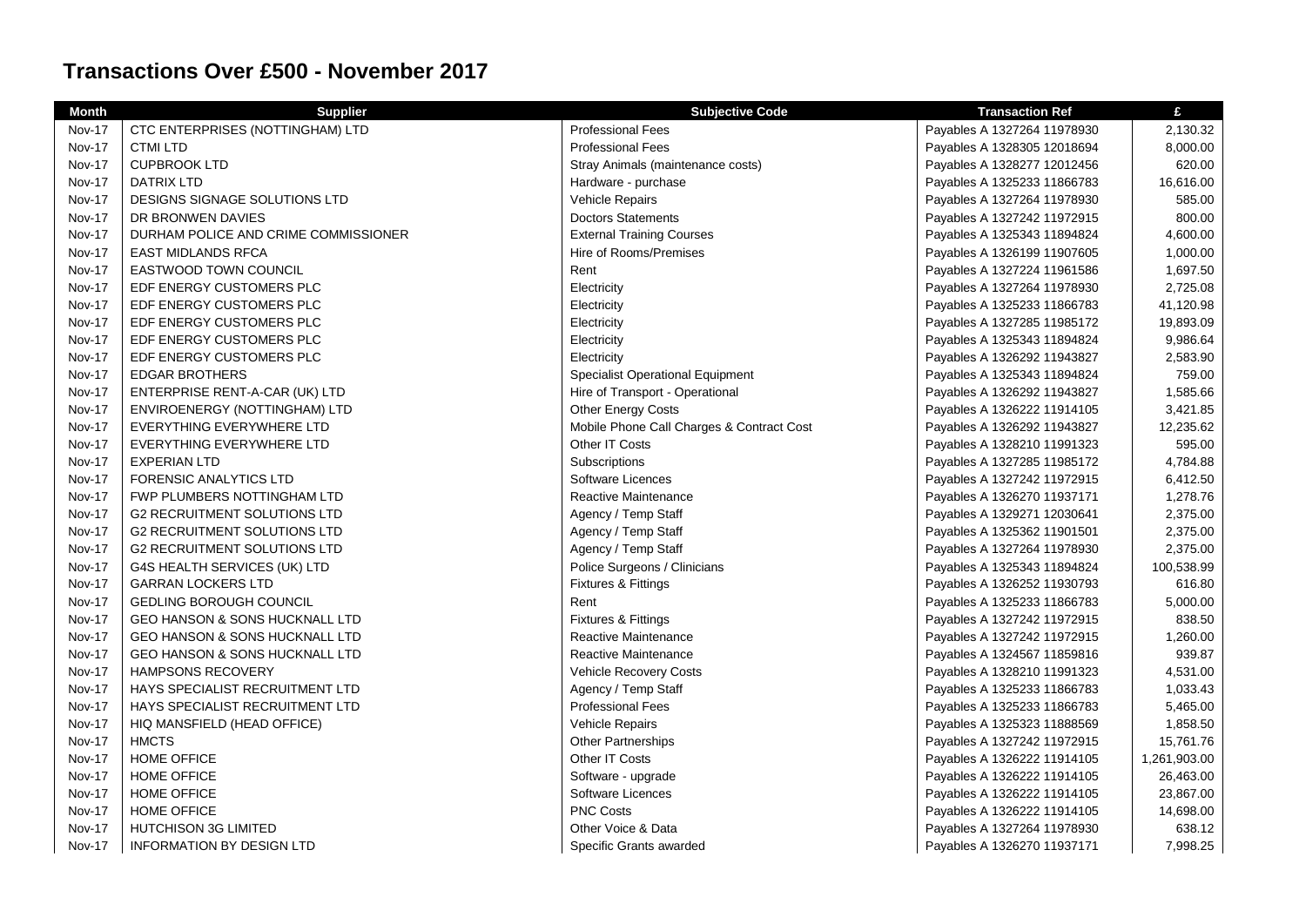| <b>Month</b>  | <b>Supplier</b>                           | <b>Subjective Code</b>                    | <b>Transaction Ref</b>      | £            |
|---------------|-------------------------------------------|-------------------------------------------|-----------------------------|--------------|
| <b>Nov-17</b> | CTC ENTERPRISES (NOTTINGHAM) LTD          | <b>Professional Fees</b>                  | Payables A 1327264 11978930 | 2,130.32     |
| <b>Nov-17</b> | <b>CTMI LTD</b>                           | <b>Professional Fees</b>                  | Payables A 1328305 12018694 | 8,000.00     |
| <b>Nov-17</b> | <b>CUPBROOK LTD</b>                       | Stray Animals (maintenance costs)         | Payables A 1328277 12012456 | 620.00       |
| <b>Nov-17</b> | <b>DATRIX LTD</b>                         | Hardware - purchase                       | Payables A 1325233 11866783 | 16,616.00    |
| <b>Nov-17</b> | DESIGNS SIGNAGE SOLUTIONS LTD             | Vehicle Repairs                           | Payables A 1327264 11978930 | 585.00       |
| <b>Nov-17</b> | DR BRONWEN DAVIES                         | <b>Doctors Statements</b>                 | Payables A 1327242 11972915 | 800.00       |
| <b>Nov-17</b> | DURHAM POLICE AND CRIME COMMISSIONER      | <b>External Training Courses</b>          | Payables A 1325343 11894824 | 4,600.00     |
| Nov-17        | <b>EAST MIDLANDS RFCA</b>                 | Hire of Rooms/Premises                    | Payables A 1326199 11907605 | 1,000.00     |
| <b>Nov-17</b> | EASTWOOD TOWN COUNCIL                     | Rent                                      | Payables A 1327224 11961586 | 1,697.50     |
| <b>Nov-17</b> | EDF ENERGY CUSTOMERS PLC                  | Electricity                               | Payables A 1327264 11978930 | 2,725.08     |
| <b>Nov-17</b> | EDF ENERGY CUSTOMERS PLC                  | Electricity                               | Payables A 1325233 11866783 | 41,120.98    |
| <b>Nov-17</b> | EDF ENERGY CUSTOMERS PLC                  | Electricity                               | Payables A 1327285 11985172 | 19,893.09    |
| <b>Nov-17</b> | EDF ENERGY CUSTOMERS PLC                  | Electricity                               | Payables A 1325343 11894824 | 9,986.64     |
| <b>Nov-17</b> | EDF ENERGY CUSTOMERS PLC                  | Electricity                               | Payables A 1326292 11943827 | 2,583.90     |
| Nov-17        | <b>EDGAR BROTHERS</b>                     | <b>Specialist Operational Equipment</b>   | Payables A 1325343 11894824 | 759.00       |
| <b>Nov-17</b> | ENTERPRISE RENT-A-CAR (UK) LTD            | Hire of Transport - Operational           | Payables A 1326292 11943827 | 1,585.66     |
| <b>Nov-17</b> | ENVIROENERGY (NOTTINGHAM) LTD             | Other Energy Costs                        | Payables A 1326222 11914105 | 3,421.85     |
| <b>Nov-17</b> | EVERYTHING EVERYWHERE LTD                 | Mobile Phone Call Charges & Contract Cost | Payables A 1326292 11943827 | 12,235.62    |
| <b>Nov-17</b> | EVERYTHING EVERYWHERE LTD                 | Other IT Costs                            | Payables A 1328210 11991323 | 595.00       |
| <b>Nov-17</b> | <b>EXPERIAN LTD</b>                       | Subscriptions                             | Payables A 1327285 11985172 | 4,784.88     |
| <b>Nov-17</b> | FORENSIC ANALYTICS LTD                    | <b>Software Licences</b>                  | Payables A 1327242 11972915 | 6,412.50     |
| <b>Nov-17</b> | FWP PLUMBERS NOTTINGHAM LTD               | Reactive Maintenance                      | Payables A 1326270 11937171 | 1,278.76     |
| <b>Nov-17</b> | <b>G2 RECRUITMENT SOLUTIONS LTD</b>       | Agency / Temp Staff                       | Payables A 1329271 12030641 | 2,375.00     |
| <b>Nov-17</b> | <b>G2 RECRUITMENT SOLUTIONS LTD</b>       | Agency / Temp Staff                       | Payables A 1325362 11901501 | 2,375.00     |
| <b>Nov-17</b> | <b>G2 RECRUITMENT SOLUTIONS LTD</b>       | Agency / Temp Staff                       | Payables A 1327264 11978930 | 2,375.00     |
| <b>Nov-17</b> | G4S HEALTH SERVICES (UK) LTD              | Police Surgeons / Clinicians              | Payables A 1325343 11894824 | 100,538.99   |
| <b>Nov-17</b> | <b>GARRAN LOCKERS LTD</b>                 | Fixtures & Fittings                       | Payables A 1326252 11930793 | 616.80       |
| <b>Nov-17</b> | <b>GEDLING BOROUGH COUNCIL</b>            | Rent                                      | Payables A 1325233 11866783 | 5,000.00     |
| <b>Nov-17</b> | <b>GEO HANSON &amp; SONS HUCKNALL LTD</b> | Fixtures & Fittings                       | Payables A 1327242 11972915 | 838.50       |
| <b>Nov-17</b> | GEO HANSON & SONS HUCKNALL LTD            | Reactive Maintenance                      | Payables A 1327242 11972915 | 1,260.00     |
| <b>Nov-17</b> | <b>GEO HANSON &amp; SONS HUCKNALL LTD</b> | Reactive Maintenance                      | Payables A 1324567 11859816 | 939.87       |
| <b>Nov-17</b> | <b>HAMPSONS RECOVERY</b>                  | <b>Vehicle Recovery Costs</b>             | Payables A 1328210 11991323 | 4,531.00     |
| <b>Nov-17</b> | HAYS SPECIALIST RECRUITMENT LTD           | Agency / Temp Staff                       | Payables A 1325233 11866783 | 1,033.43     |
| <b>Nov-17</b> | HAYS SPECIALIST RECRUITMENT LTD           | <b>Professional Fees</b>                  | Payables A 1325233 11866783 | 5,465.00     |
| <b>Nov-17</b> | HIQ MANSFIELD (HEAD OFFICE)               | <b>Vehicle Repairs</b>                    | Payables A 1325323 11888569 | 1,858.50     |
| <b>Nov-17</b> | <b>HMCTS</b>                              | <b>Other Partnerships</b>                 | Payables A 1327242 11972915 | 15,761.76    |
| <b>Nov-17</b> | <b>HOME OFFICE</b>                        | Other IT Costs                            | Payables A 1326222 11914105 | 1,261,903.00 |
| Nov-17        | <b>HOME OFFICE</b>                        | Software - upgrade                        | Payables A 1326222 11914105 | 26,463.00    |
| <b>Nov-17</b> | <b>HOME OFFICE</b>                        | Software Licences                         | Payables A 1326222 11914105 | 23,867.00    |
| <b>Nov-17</b> | <b>HOME OFFICE</b>                        | <b>PNC Costs</b>                          | Payables A 1326222 11914105 | 14,698.00    |
| <b>Nov-17</b> | <b>HUTCHISON 3G LIMITED</b>               | Other Voice & Data                        | Payables A 1327264 11978930 | 638.12       |
| <b>Nov-17</b> | <b>INFORMATION BY DESIGN LTD</b>          | Specific Grants awarded                   | Payables A 1326270 11937171 | 7,998.25     |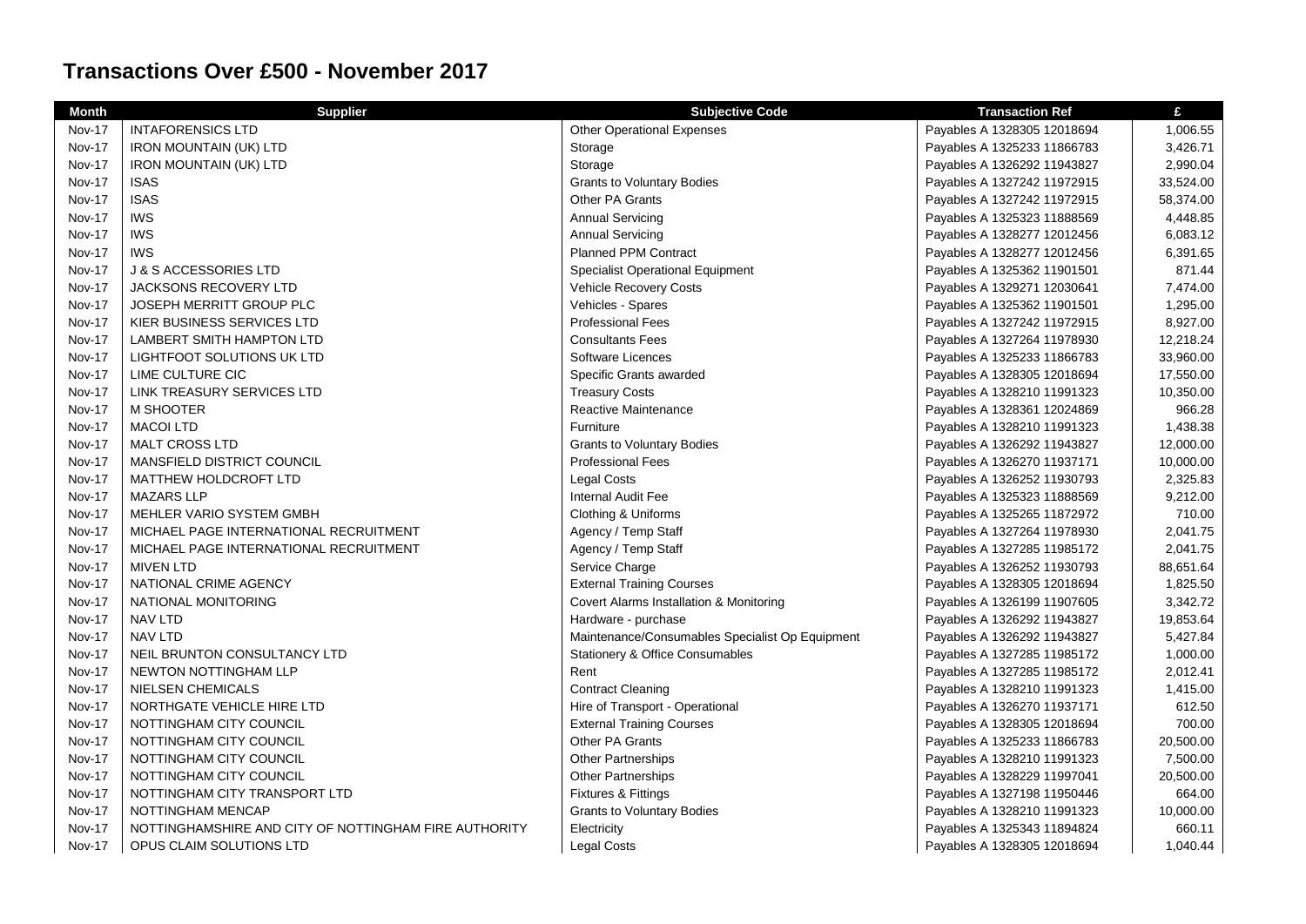| <b>Month</b>  | <b>Supplier</b>                                       | <b>Subjective Code</b>                          | <b>Transaction Ref</b>      | £         |
|---------------|-------------------------------------------------------|-------------------------------------------------|-----------------------------|-----------|
| <b>Nov-17</b> | <b>INTAFORENSICS LTD</b>                              | <b>Other Operational Expenses</b>               | Payables A 1328305 12018694 | 1,006.55  |
| Nov-17        | <b>IRON MOUNTAIN (UK) LTD</b>                         | Storage                                         | Payables A 1325233 11866783 | 3,426.71  |
| <b>Nov-17</b> | IRON MOUNTAIN (UK) LTD                                | Storage                                         | Payables A 1326292 11943827 | 2,990.04  |
| <b>Nov-17</b> | <b>ISAS</b>                                           | <b>Grants to Voluntary Bodies</b>               | Payables A 1327242 11972915 | 33,524.00 |
| Nov-17        | <b>ISAS</b>                                           | Other PA Grants                                 | Payables A 1327242 11972915 | 58,374.00 |
| <b>Nov-17</b> | <b>IWS</b>                                            | <b>Annual Servicing</b>                         | Payables A 1325323 11888569 | 4,448.85  |
| <b>Nov-17</b> | <b>IWS</b>                                            | <b>Annual Servicing</b>                         | Payables A 1328277 12012456 | 6,083.12  |
| <b>Nov-17</b> | <b>IWS</b>                                            | <b>Planned PPM Contract</b>                     | Payables A 1328277 12012456 | 6,391.65  |
| Nov-17        | <b>J &amp; S ACCESSORIES LTD</b>                      | Specialist Operational Equipment                | Payables A 1325362 11901501 | 871.44    |
| Nov-17        | JACKSONS RECOVERY LTD                                 | <b>Vehicle Recovery Costs</b>                   | Payables A 1329271 12030641 | 7,474.00  |
| <b>Nov-17</b> | JOSEPH MERRITT GROUP PLC                              | Vehicles - Spares                               | Payables A 1325362 11901501 | 1,295.00  |
| Nov-17        | KIER BUSINESS SERVICES LTD                            | <b>Professional Fees</b>                        | Payables A 1327242 11972915 | 8,927.00  |
| <b>Nov-17</b> | LAMBERT SMITH HAMPTON LTD                             | <b>Consultants Fees</b>                         | Payables A 1327264 11978930 | 12,218.24 |
| <b>Nov-17</b> | LIGHTFOOT SOLUTIONS UK LTD                            | Software Licences                               | Payables A 1325233 11866783 | 33,960.00 |
| <b>Nov-17</b> | LIME CULTURE CIC                                      | Specific Grants awarded                         | Payables A 1328305 12018694 | 17,550.00 |
| Nov-17        | LINK TREASURY SERVICES LTD                            | <b>Treasury Costs</b>                           | Payables A 1328210 11991323 | 10,350.00 |
| <b>Nov-17</b> | M SHOOTER                                             | Reactive Maintenance                            | Payables A 1328361 12024869 | 966.28    |
| <b>Nov-17</b> | <b>MACOI LTD</b>                                      | Furniture                                       | Payables A 1328210 11991323 | 1,438.38  |
| <b>Nov-17</b> | <b>MALT CROSS LTD</b>                                 | <b>Grants to Voluntary Bodies</b>               | Payables A 1326292 11943827 | 12,000.00 |
| <b>Nov-17</b> | MANSFIELD DISTRICT COUNCIL                            | <b>Professional Fees</b>                        | Payables A 1326270 11937171 | 10,000.00 |
| <b>Nov-17</b> | MATTHEW HOLDCROFT LTD                                 | <b>Legal Costs</b>                              | Payables A 1326252 11930793 | 2,325.83  |
| <b>Nov-17</b> | <b>MAZARS LLP</b>                                     | Internal Audit Fee                              | Payables A 1325323 11888569 | 9,212.00  |
| <b>Nov-17</b> | MEHLER VARIO SYSTEM GMBH                              | Clothing & Uniforms                             | Payables A 1325265 11872972 | 710.00    |
| <b>Nov-17</b> | MICHAEL PAGE INTERNATIONAL RECRUITMENT                | Agency / Temp Staff                             | Payables A 1327264 11978930 | 2,041.75  |
| <b>Nov-17</b> | MICHAEL PAGE INTERNATIONAL RECRUITMENT                | Agency / Temp Staff                             | Payables A 1327285 11985172 | 2,041.75  |
| Nov-17        | <b>MIVEN LTD</b>                                      | Service Charge                                  | Payables A 1326252 11930793 | 88,651.64 |
| <b>Nov-17</b> | NATIONAL CRIME AGENCY                                 | <b>External Training Courses</b>                | Payables A 1328305 12018694 | 1,825.50  |
| <b>Nov-17</b> | NATIONAL MONITORING                                   | Covert Alarms Installation & Monitoring         | Payables A 1326199 11907605 | 3,342.72  |
| <b>Nov-17</b> | NAV LTD                                               | Hardware - purchase                             | Payables A 1326292 11943827 | 19,853.64 |
| <b>Nov-17</b> | <b>NAV LTD</b>                                        | Maintenance/Consumables Specialist Op Equipment | Payables A 1326292 11943827 | 5,427.84  |
| <b>Nov-17</b> | NEIL BRUNTON CONSULTANCY LTD                          | <b>Stationery &amp; Office Consumables</b>      | Payables A 1327285 11985172 | 1,000.00  |
| <b>Nov-17</b> | NEWTON NOTTINGHAM LLP                                 | Rent                                            | Payables A 1327285 11985172 | 2,012.41  |
| <b>Nov-17</b> | <b>NIELSEN CHEMICALS</b>                              | <b>Contract Cleaning</b>                        | Payables A 1328210 11991323 | 1,415.00  |
| <b>Nov-17</b> | NORTHGATE VEHICLE HIRE LTD                            | Hire of Transport - Operational                 | Payables A 1326270 11937171 | 612.50    |
| <b>Nov-17</b> | NOTTINGHAM CITY COUNCIL                               | <b>External Training Courses</b>                | Payables A 1328305 12018694 | 700.00    |
| Nov-17        | NOTTINGHAM CITY COUNCIL                               | Other PA Grants                                 | Payables A 1325233 11866783 | 20,500.00 |
| <b>Nov-17</b> | NOTTINGHAM CITY COUNCIL                               | <b>Other Partnerships</b>                       | Payables A 1328210 11991323 | 7,500.00  |
| Nov-17        | NOTTINGHAM CITY COUNCIL                               | <b>Other Partnerships</b>                       | Payables A 1328229 11997041 | 20,500.00 |
| Nov-17        | NOTTINGHAM CITY TRANSPORT LTD                         | <b>Fixtures &amp; Fittings</b>                  | Payables A 1327198 11950446 | 664.00    |
| Nov-17        | NOTTINGHAM MENCAP                                     | <b>Grants to Voluntary Bodies</b>               | Payables A 1328210 11991323 | 10,000.00 |
| <b>Nov-17</b> | NOTTINGHAMSHIRE AND CITY OF NOTTINGHAM FIRE AUTHORITY | Electricity                                     | Payables A 1325343 11894824 | 660.11    |
| <b>Nov-17</b> | OPUS CLAIM SOLUTIONS LTD                              | <b>Legal Costs</b>                              | Payables A 1328305 12018694 | 1,040.44  |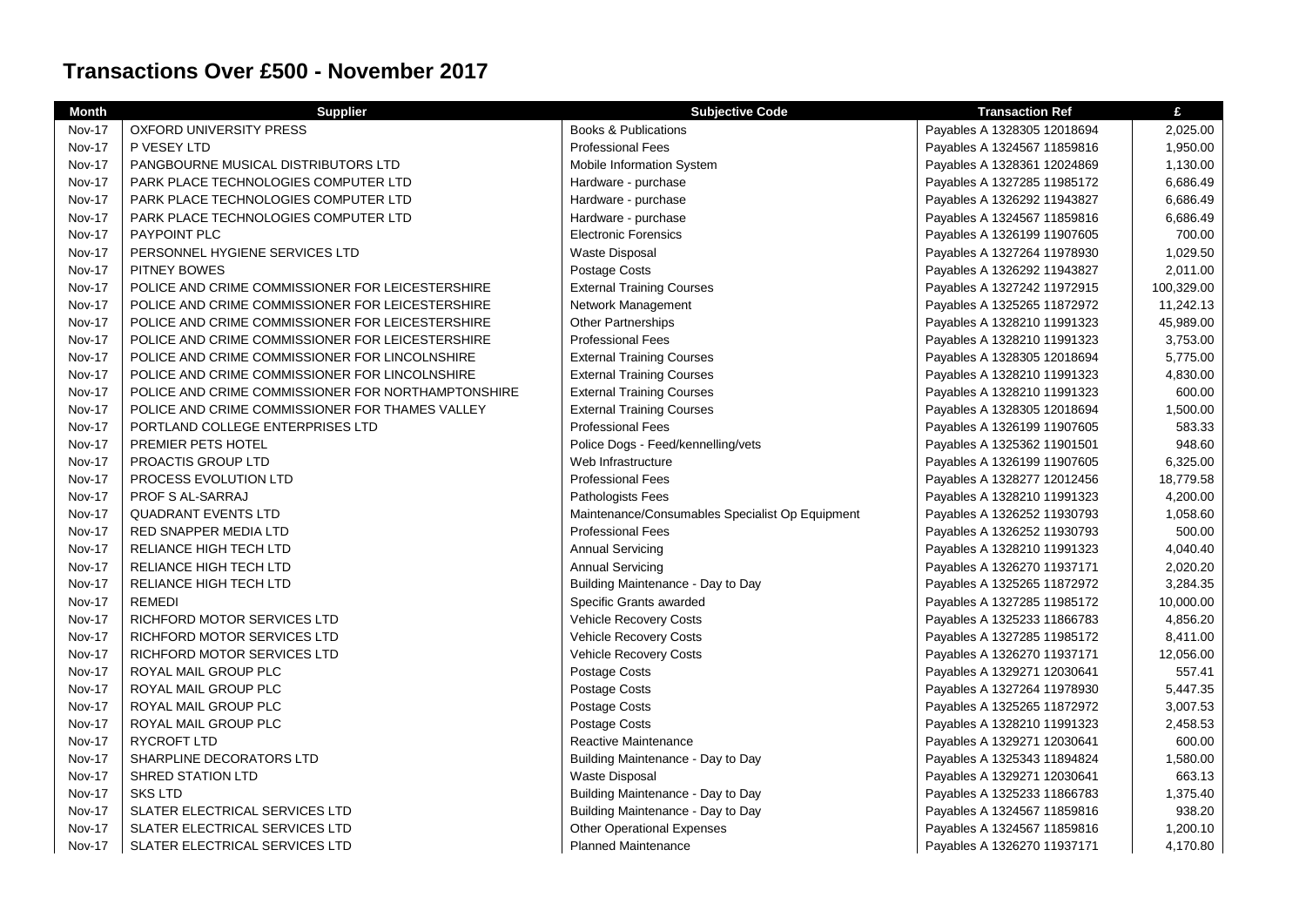| <b>Month</b>  | <b>Supplier</b>                                    | <b>Subjective Code</b>                          | <b>Transaction Ref</b>      | £          |
|---------------|----------------------------------------------------|-------------------------------------------------|-----------------------------|------------|
| <b>Nov-17</b> | <b>OXFORD UNIVERSITY PRESS</b>                     | <b>Books &amp; Publications</b>                 | Payables A 1328305 12018694 | 2,025.00   |
| <b>Nov-17</b> | P VESEY LTD                                        | <b>Professional Fees</b>                        | Payables A 1324567 11859816 | 1,950.00   |
| Nov-17        | PANGBOURNE MUSICAL DISTRIBUTORS LTD                | Mobile Information System                       | Payables A 1328361 12024869 | 1,130.00   |
| <b>Nov-17</b> | PARK PLACE TECHNOLOGIES COMPUTER LTD               | Hardware - purchase                             | Payables A 1327285 11985172 | 6,686.49   |
| <b>Nov-17</b> | PARK PLACE TECHNOLOGIES COMPUTER LTD               | Hardware - purchase                             | Payables A 1326292 11943827 | 6,686.49   |
| Nov-17        | PARK PLACE TECHNOLOGIES COMPUTER LTD               | Hardware - purchase                             | Payables A 1324567 11859816 | 6,686.49   |
| Nov-17        | PAYPOINT PLC                                       | <b>Electronic Forensics</b>                     | Payables A 1326199 11907605 | 700.00     |
| <b>Nov-17</b> | PERSONNEL HYGIENE SERVICES LTD                     | <b>Waste Disposal</b>                           | Payables A 1327264 11978930 | 1,029.50   |
| <b>Nov-17</b> | <b>PITNEY BOWES</b>                                | Postage Costs                                   | Payables A 1326292 11943827 | 2,011.00   |
| Nov-17        | POLICE AND CRIME COMMISSIONER FOR LEICESTERSHIRE   | <b>External Training Courses</b>                | Payables A 1327242 11972915 | 100,329.00 |
| <b>Nov-17</b> | POLICE AND CRIME COMMISSIONER FOR LEICESTERSHIRE   | Network Management                              | Payables A 1325265 11872972 | 11,242.13  |
| <b>Nov-17</b> | POLICE AND CRIME COMMISSIONER FOR LEICESTERSHIRE   | <b>Other Partnerships</b>                       | Payables A 1328210 11991323 | 45,989.00  |
| <b>Nov-17</b> | POLICE AND CRIME COMMISSIONER FOR LEICESTERSHIRE   | <b>Professional Fees</b>                        | Payables A 1328210 11991323 | 3,753.00   |
| <b>Nov-17</b> | POLICE AND CRIME COMMISSIONER FOR LINCOLNSHIRE     | <b>External Training Courses</b>                | Payables A 1328305 12018694 | 5,775.00   |
| <b>Nov-17</b> | POLICE AND CRIME COMMISSIONER FOR LINCOLNSHIRE     | <b>External Training Courses</b>                | Payables A 1328210 11991323 | 4,830.00   |
| Nov-17        | POLICE AND CRIME COMMISSIONER FOR NORTHAMPTONSHIRE | <b>External Training Courses</b>                | Payables A 1328210 11991323 | 600.00     |
| Nov-17        | POLICE AND CRIME COMMISSIONER FOR THAMES VALLEY    | <b>External Training Courses</b>                | Payables A 1328305 12018694 | 1,500.00   |
| Nov-17        | PORTLAND COLLEGE ENTERPRISES LTD                   | <b>Professional Fees</b>                        | Payables A 1326199 11907605 | 583.33     |
| <b>Nov-17</b> | PREMIER PETS HOTEL                                 | Police Dogs - Feed/kennelling/vets              | Payables A 1325362 11901501 | 948.60     |
| Nov-17        | <b>PROACTIS GROUP LTD</b>                          | Web Infrastructure                              | Payables A 1326199 11907605 | 6,325.00   |
| <b>Nov-17</b> | <b>PROCESS EVOLUTION LTD</b>                       | <b>Professional Fees</b>                        | Payables A 1328277 12012456 | 18,779.58  |
| <b>Nov-17</b> | PROF S AL-SARRAJ                                   | <b>Pathologists Fees</b>                        | Payables A 1328210 11991323 | 4,200.00   |
| Nov-17        | <b>QUADRANT EVENTS LTD</b>                         | Maintenance/Consumables Specialist Op Equipment | Payables A 1326252 11930793 | 1,058.60   |
| <b>Nov-17</b> | RED SNAPPER MEDIA LTD                              | <b>Professional Fees</b>                        | Payables A 1326252 11930793 | 500.00     |
| Nov-17        | RELIANCE HIGH TECH LTD                             | <b>Annual Servicing</b>                         | Payables A 1328210 11991323 | 4,040.40   |
| Nov-17        | RELIANCE HIGH TECH LTD                             | <b>Annual Servicing</b>                         | Payables A 1326270 11937171 | 2,020.20   |
| <b>Nov-17</b> | RELIANCE HIGH TECH LTD                             | Building Maintenance - Day to Day               | Payables A 1325265 11872972 | 3,284.35   |
| <b>Nov-17</b> | <b>REMEDI</b>                                      | Specific Grants awarded                         | Payables A 1327285 11985172 | 10,000.00  |
| <b>Nov-17</b> | RICHFORD MOTOR SERVICES LTD                        | <b>Vehicle Recovery Costs</b>                   | Payables A 1325233 11866783 | 4,856.20   |
| <b>Nov-17</b> | RICHFORD MOTOR SERVICES LTD                        | <b>Vehicle Recovery Costs</b>                   | Payables A 1327285 11985172 | 8,411.00   |
| Nov-17        | RICHFORD MOTOR SERVICES LTD                        | Vehicle Recovery Costs                          | Payables A 1326270 11937171 | 12,056.00  |
| <b>Nov-17</b> | ROYAL MAIL GROUP PLC                               | Postage Costs                                   | Payables A 1329271 12030641 | 557.41     |
| Nov-17        | ROYAL MAIL GROUP PLC                               | Postage Costs                                   | Payables A 1327264 11978930 | 5,447.35   |
| Nov-17        | ROYAL MAIL GROUP PLC                               | Postage Costs                                   | Payables A 1325265 11872972 | 3,007.53   |
| <b>Nov-17</b> | ROYAL MAIL GROUP PLC                               | Postage Costs                                   | Payables A 1328210 11991323 | 2,458.53   |
| <b>Nov-17</b> | <b>RYCROFT LTD</b>                                 | Reactive Maintenance                            | Payables A 1329271 12030641 | 600.00     |
| <b>Nov-17</b> | SHARPLINE DECORATORS LTD                           | Building Maintenance - Day to Day               | Payables A 1325343 11894824 | 1,580.00   |
| <b>Nov-17</b> | SHRED STATION LTD                                  | Waste Disposal                                  | Payables A 1329271 12030641 | 663.13     |
| Nov-17        | <b>SKS LTD</b>                                     | Building Maintenance - Day to Day               | Payables A 1325233 11866783 | 1,375.40   |
| <b>Nov-17</b> | SLATER ELECTRICAL SERVICES LTD                     | Building Maintenance - Day to Day               | Payables A 1324567 11859816 | 938.20     |
| <b>Nov-17</b> | SLATER ELECTRICAL SERVICES LTD                     | <b>Other Operational Expenses</b>               | Payables A 1324567 11859816 | 1,200.10   |
| <b>Nov-17</b> | SLATER ELECTRICAL SERVICES LTD                     | <b>Planned Maintenance</b>                      | Payables A 1326270 11937171 | 4,170.80   |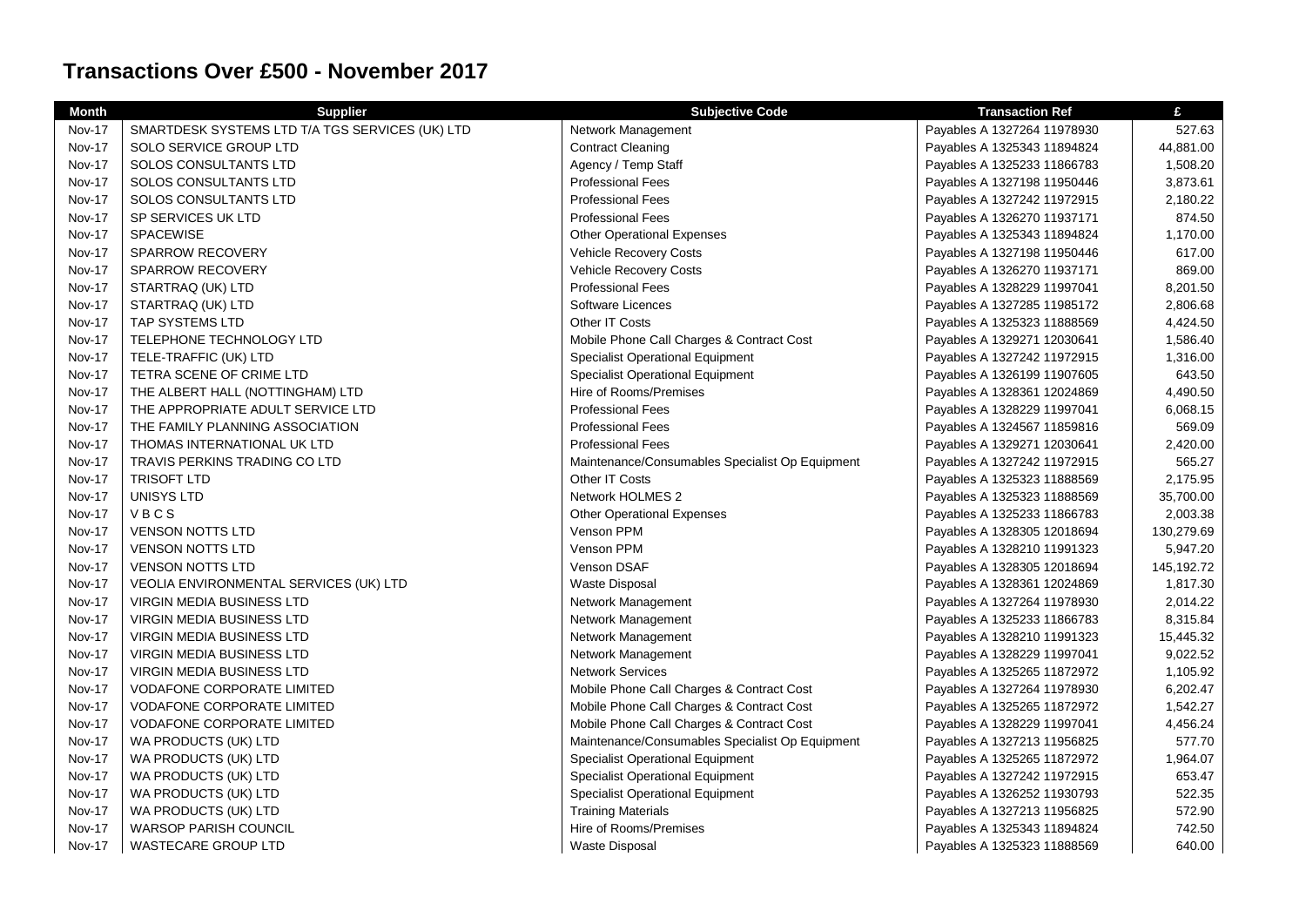| <b>Month</b>  | <b>Supplier</b>                                 | <b>Subjective Code</b>                          | <b>Transaction Ref</b>      | £          |
|---------------|-------------------------------------------------|-------------------------------------------------|-----------------------------|------------|
| <b>Nov-17</b> | SMARTDESK SYSTEMS LTD T/A TGS SERVICES (UK) LTD | Network Management                              | Payables A 1327264 11978930 | 527.63     |
| Nov-17        | <b>SOLO SERVICE GROUP LTD</b>                   | <b>Contract Cleaning</b>                        | Payables A 1325343 11894824 | 44,881.00  |
| <b>Nov-17</b> | SOLOS CONSULTANTS LTD                           | Agency / Temp Staff                             | Payables A 1325233 11866783 | 1,508.20   |
| <b>Nov-17</b> | <b>SOLOS CONSULTANTS LTD</b>                    | <b>Professional Fees</b>                        | Payables A 1327198 11950446 | 3,873.61   |
| Nov-17        | SOLOS CONSULTANTS LTD                           | <b>Professional Fees</b>                        | Payables A 1327242 11972915 | 2,180.22   |
| <b>Nov-17</b> | SP SERVICES UK LTD                              | <b>Professional Fees</b>                        | Payables A 1326270 11937171 | 874.50     |
| <b>Nov-17</b> | <b>SPACEWISE</b>                                | <b>Other Operational Expenses</b>               | Payables A 1325343 11894824 | 1,170.00   |
| Nov-17        | SPARROW RECOVERY                                | Vehicle Recovery Costs                          | Payables A 1327198 11950446 | 617.00     |
| <b>Nov-17</b> | SPARROW RECOVERY                                | <b>Vehicle Recovery Costs</b>                   | Payables A 1326270 11937171 | 869.00     |
| Nov-17        | STARTRAQ (UK) LTD                               | <b>Professional Fees</b>                        | Payables A 1328229 11997041 | 8,201.50   |
| <b>Nov-17</b> | STARTRAQ (UK) LTD                               | Software Licences                               | Payables A 1327285 11985172 | 2,806.68   |
| Nov-17        | <b>TAP SYSTEMS LTD</b>                          | Other IT Costs                                  | Payables A 1325323 11888569 | 4,424.50   |
| <b>Nov-17</b> | <b>TELEPHONE TECHNOLOGY LTD</b>                 | Mobile Phone Call Charges & Contract Cost       | Payables A 1329271 12030641 | 1,586.40   |
| Nov-17        | TELE-TRAFFIC (UK) LTD                           | <b>Specialist Operational Equipment</b>         | Payables A 1327242 11972915 | 1,316.00   |
| Nov-17        | TETRA SCENE OF CRIME LTD                        | <b>Specialist Operational Equipment</b>         | Payables A 1326199 11907605 | 643.50     |
| Nov-17        | THE ALBERT HALL (NOTTINGHAM) LTD                | Hire of Rooms/Premises                          | Payables A 1328361 12024869 | 4,490.50   |
| <b>Nov-17</b> | THE APPROPRIATE ADULT SERVICE LTD               | <b>Professional Fees</b>                        | Payables A 1328229 11997041 | 6,068.15   |
| <b>Nov-17</b> | THE FAMILY PLANNING ASSOCIATION                 | <b>Professional Fees</b>                        | Payables A 1324567 11859816 | 569.09     |
| <b>Nov-17</b> | THOMAS INTERNATIONAL UK LTD                     | <b>Professional Fees</b>                        | Payables A 1329271 12030641 | 2,420.00   |
| <b>Nov-17</b> | <b>TRAVIS PERKINS TRADING CO LTD</b>            | Maintenance/Consumables Specialist Op Equipment | Payables A 1327242 11972915 | 565.27     |
| <b>Nov-17</b> | <b>TRISOFT LTD</b>                              | Other IT Costs                                  | Payables A 1325323 11888569 | 2,175.95   |
| <b>Nov-17</b> | <b>UNISYS LTD</b>                               | Network HOLMES 2                                | Payables A 1325323 11888569 | 35,700.00  |
| <b>Nov-17</b> | VBCS                                            | <b>Other Operational Expenses</b>               | Payables A 1325233 11866783 | 2,003.38   |
| <b>Nov-17</b> | <b>VENSON NOTTS LTD</b>                         | Venson PPM                                      | Payables A 1328305 12018694 | 130,279.69 |
| <b>Nov-17</b> | <b>VENSON NOTTS LTD</b>                         | Venson PPM                                      | Payables A 1328210 11991323 | 5,947.20   |
| <b>Nov-17</b> | <b>VENSON NOTTS LTD</b>                         | Venson DSAF                                     | Payables A 1328305 12018694 | 145,192.72 |
| <b>Nov-17</b> | <b>VEOLIA ENVIRONMENTAL SERVICES (UK) LTD</b>   | <b>Waste Disposal</b>                           | Payables A 1328361 12024869 | 1,817.30   |
| <b>Nov-17</b> | VIRGIN MEDIA BUSINESS LTD                       | Network Management                              | Payables A 1327264 11978930 | 2,014.22   |
| <b>Nov-17</b> | <b>VIRGIN MEDIA BUSINESS LTD</b>                | Network Management                              | Payables A 1325233 11866783 | 8,315.84   |
| <b>Nov-17</b> | <b>VIRGIN MEDIA BUSINESS LTD</b>                | Network Management                              | Payables A 1328210 11991323 | 15,445.32  |
| Nov-17        | VIRGIN MEDIA BUSINESS LTD                       | Network Management                              | Payables A 1328229 11997041 | 9,022.52   |
| <b>Nov-17</b> | <b>VIRGIN MEDIA BUSINESS LTD</b>                | <b>Network Services</b>                         | Payables A 1325265 11872972 | 1,105.92   |
| <b>Nov-17</b> | <b>VODAFONE CORPORATE LIMITED</b>               | Mobile Phone Call Charges & Contract Cost       | Payables A 1327264 11978930 | 6,202.47   |
| Nov-17        | <b>VODAFONE CORPORATE LIMITED</b>               | Mobile Phone Call Charges & Contract Cost       | Payables A 1325265 11872972 | 1,542.27   |
| <b>Nov-17</b> | <b>VODAFONE CORPORATE LIMITED</b>               | Mobile Phone Call Charges & Contract Cost       | Payables A 1328229 11997041 | 4,456.24   |
| Nov-17        | WA PRODUCTS (UK) LTD                            | Maintenance/Consumables Specialist Op Equipment | Payables A 1327213 11956825 | 577.70     |
| <b>Nov-17</b> | WA PRODUCTS (UK) LTD                            | <b>Specialist Operational Equipment</b>         | Payables A 1325265 11872972 | 1,964.07   |
| Nov-17        | WA PRODUCTS (UK) LTD                            | <b>Specialist Operational Equipment</b>         | Payables A 1327242 11972915 | 653.47     |
| Nov-17        | WA PRODUCTS (UK) LTD                            | Specialist Operational Equipment                | Payables A 1326252 11930793 | 522.35     |
| Nov-17        | WA PRODUCTS (UK) LTD                            | <b>Training Materials</b>                       | Payables A 1327213 11956825 | 572.90     |
| Nov-17        | <b>WARSOP PARISH COUNCIL</b>                    | Hire of Rooms/Premises                          | Payables A 1325343 11894824 | 742.50     |
| <b>Nov-17</b> | WASTECARE GROUP LTD                             | <b>Waste Disposal</b>                           | Payables A 1325323 11888569 | 640.00     |